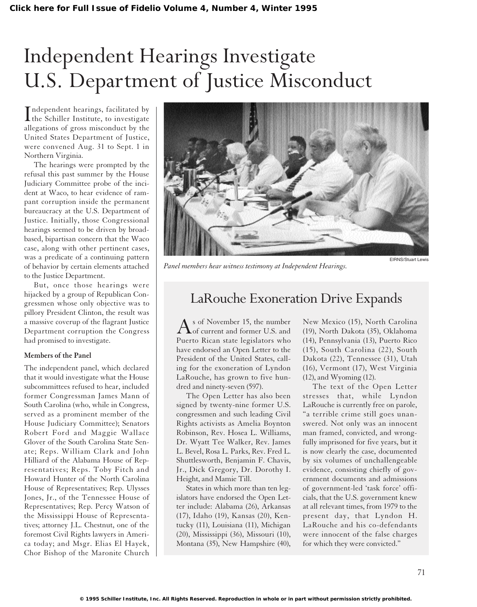# Independent Hearings Investigate U.S. Department of Justice Misconduct

Independent hearings, facilitated by<br>the Schiller Institute, to investigate the Schiller Institute, to investigate allegations of gross misconduct by the United States Department of Justice, were convened Aug. 31 to Sept. 1 in Northern Virginia.

The hearings were prompted by the refusal this past summer by the House Judiciary Committee probe of the incident at Waco, to hear evidence of rampant corruption inside the permanent bureaucracy at the U.S. Department of Justice. Initially, those Congressional hearings seemed to be driven by broadbased, bipartisan concern that the Waco case, along with other pertinent cases, was a predicate of a continuing pattern of behavior by certain elements attached to the Justice Department.

But, once those hearings were hijacked by a group of Republican Congressmen whose only objective was to pillory President Clinton, the result was a massive coverup of the flagrant Justice Department corruption the Congress had promised to investigate.

#### **Members of the Panel**

The independent panel, which declared that it would investigate what the House subcommittees refused to hear, included former Congressman James Mann of South Carolina (who, while in Congress, served as a prominent member of the House Judiciary Committee); Senators Robert Ford and Maggie Wallace Glover of the South Carolina State Senate; Reps. William Clark and John Hilliard of the Alabama House of Representatives; Reps. Toby Fitch and Howard Hunter of the North Carolina House of Representatives; Rep. Ulysses Jones, Jr., of the Tennessee House of Representatives; Rep. Percy Watson of the Mississippi House of Representatives; attorney J.L. Chestnut, one of the foremost Civil Rights lawyers in America today; and Msgr. Elias El Hayek, Chor Bishop of the Maronite Church



*Panel members hear witness testimony at Independent Hearings.*

EIRNS/Stuart Lewis

# LaRouche Exoneration Drive Expands

s of November 15, the number of current and former U.S. and Puerto Rican state legislators who have endorsed an Open Letter to the President of the United States, calling for the exoneration of Lyndon LaRouche, has grown to five hundred and ninety-seven (597).

The Open Letter has also been signed by twenty-nine former U.S. congressmen and such leading Civil Rights activists as Amelia Boynton Robinson, Rev. Hosea L. Williams, Dr. Wyatt Tee Walker, Rev. James L. Bevel, Rosa L. Parks, Rev. Fred L. Shuttlesworth, Benjamin F. Chavis, Jr., Dick Gregory, Dr. Dorothy I. Height, and Mamie Till.

States in which more than ten legislators have endorsed the Open Letter include: Alabama (26), Arkansas (17), Idaho (19), Kansas (20), Kentucky (11), Louisiana (11), Michigan (20), Mississippi (36), Missouri (10), Montana (35), New Hampshire (40),

New Mexico (15), North Carolina (19), North Dakota (35), Oklahoma (14), Pennsylvania (13), Puerto Rico (15), South Carolina (22), South Dakota (22), Tennessee (31), Utah (16), Vermont (17), West Virginia (12), and Wyoming (12).

The text of the Open Letter stresses that, while Lyndon LaRouche is currently free on parole, "a terrible crime still goes unanswered. Not only was an innocent man framed, convicted, and wrongfully imprisoned for five years, but it is now clearly the case, documented by six volumes of unchallengeable evidence, consisting chiefly of government documents and admissions of government-led 'task force' officials, that the U.S. government knew at all relevant times, from 1979 to the present day, that Lyndon H. LaRouche and his co-defendants were innocent of the false charges for which they were convicted."